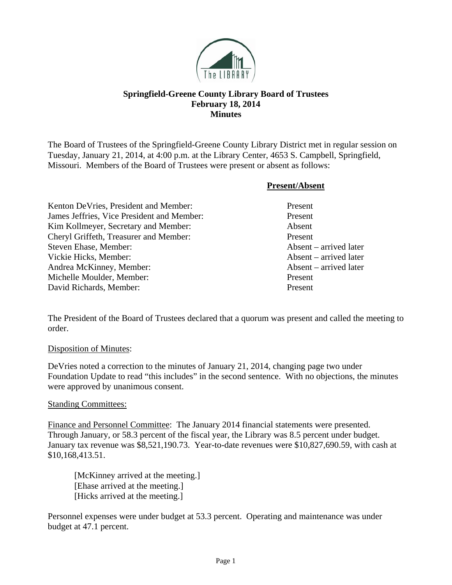

## **Springfield-Greene County Library Board of Trustees February 18, 2014 Minutes**

The Board of Trustees of the Springfield-Greene County Library District met in regular session on Tuesday, January 21, 2014, at 4:00 p.m. at the Library Center, 4653 S. Campbell, Springfield, Missouri. Members of the Board of Trustees were present or absent as follows:

|                                            | <b>Present/Absent</b>           |
|--------------------------------------------|---------------------------------|
| Kenton De Vries, President and Member:     | Present                         |
| James Jeffries, Vice President and Member: | Present                         |
| Kim Kollmeyer, Secretary and Member:       | Absent                          |
| Cheryl Griffeth, Treasurer and Member:     | Present                         |
| Steven Ehase, Member:                      | Absent – arrived later          |
| Vickie Hicks, Member:                      | Absent – arrived later          |
| Andrea McKinney, Member:                   | $\Lambda$ bsent – arrived later |
| Michelle Moulder, Member:                  | Present                         |
| David Richards, Member:                    | Present                         |

The President of the Board of Trustees declared that a quorum was present and called the meeting to order.

Disposition of Minutes:

DeVries noted a correction to the minutes of January 21, 2014, changing page two under Foundation Update to read "this includes" in the second sentence. With no objections, the minutes were approved by unanimous consent.

## Standing Committees:

Finance and Personnel Committee: The January 2014 financial statements were presented. Through January, or 58.3 percent of the fiscal year, the Library was 8.5 percent under budget. January tax revenue was \$8,521,190.73. Year-to-date revenues were \$10,827,690.59, with cash at \$10,168,413.51.

 [McKinney arrived at the meeting.] [Ehase arrived at the meeting.] [Hicks arrived at the meeting.]

Personnel expenses were under budget at 53.3 percent. Operating and maintenance was under budget at 47.1 percent.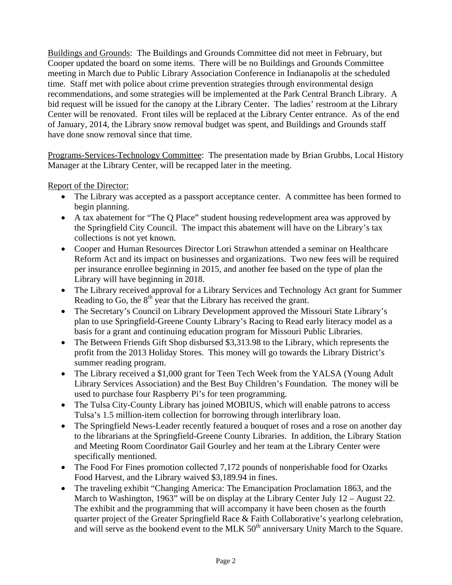Buildings and Grounds: The Buildings and Grounds Committee did not meet in February, but Cooper updated the board on some items. There will be no Buildings and Grounds Committee meeting in March due to Public Library Association Conference in Indianapolis at the scheduled time. Staff met with police about crime prevention strategies through environmental design recommendations, and some strategies will be implemented at the Park Central Branch Library. A bid request will be issued for the canopy at the Library Center. The ladies' restroom at the Library Center will be renovated. Front tiles will be replaced at the Library Center entrance. As of the end of January, 2014, the Library snow removal budget was spent, and Buildings and Grounds staff have done snow removal since that time.

Programs-Services-Technology Committee: The presentation made by Brian Grubbs, Local History Manager at the Library Center, will be recapped later in the meeting.

Report of the Director:

- The Library was accepted as a passport acceptance center. A committee has been formed to begin planning.
- A tax abatement for "The Q Place" student housing redevelopment area was approved by the Springfield City Council. The impact this abatement will have on the Library's tax collections is not yet known.
- Cooper and Human Resources Director Lori Strawhun attended a seminar on Healthcare Reform Act and its impact on businesses and organizations. Two new fees will be required per insurance enrollee beginning in 2015, and another fee based on the type of plan the Library will have beginning in 2018.
- The Library received approval for a Library Services and Technology Act grant for Summer Reading to Go, the  $8<sup>th</sup>$  year that the Library has received the grant.
- The Secretary's Council on Library Development approved the Missouri State Library's plan to use Springfield-Greene County Library's Racing to Read early literacy model as a basis for a grant and continuing education program for Missouri Public Libraries.
- The Between Friends Gift Shop disbursed \$3,313.98 to the Library, which represents the profit from the 2013 Holiday Stores. This money will go towards the Library District's summer reading program.
- The Library received a \$1,000 grant for Teen Tech Week from the YALSA (Young Adult Library Services Association) and the Best Buy Children's Foundation. The money will be used to purchase four Raspberry Pi's for teen programming.
- The Tulsa City-County Library has joined MOBIUS, which will enable patrons to access Tulsa's 1.5 million-item collection for borrowing through interlibrary loan.
- The Springfield News-Leader recently featured a bouquet of roses and a rose on another day to the librarians at the Springfield-Greene County Libraries. In addition, the Library Station and Meeting Room Coordinator Gail Gourley and her team at the Library Center were specifically mentioned.
- The Food For Fines promotion collected 7,172 pounds of nonperishable food for Ozarks Food Harvest, and the Library waived \$3,189.94 in fines.
- The traveling exhibit "Changing America: The Emancipation Proclamation 1863, and the March to Washington, 1963" will be on display at the Library Center July 12 – August 22. The exhibit and the programming that will accompany it have been chosen as the fourth quarter project of the Greater Springfield Race & Faith Collaborative's yearlong celebration, and will serve as the bookend event to the MLK  $50<sup>th</sup>$  anniversary Unity March to the Square.